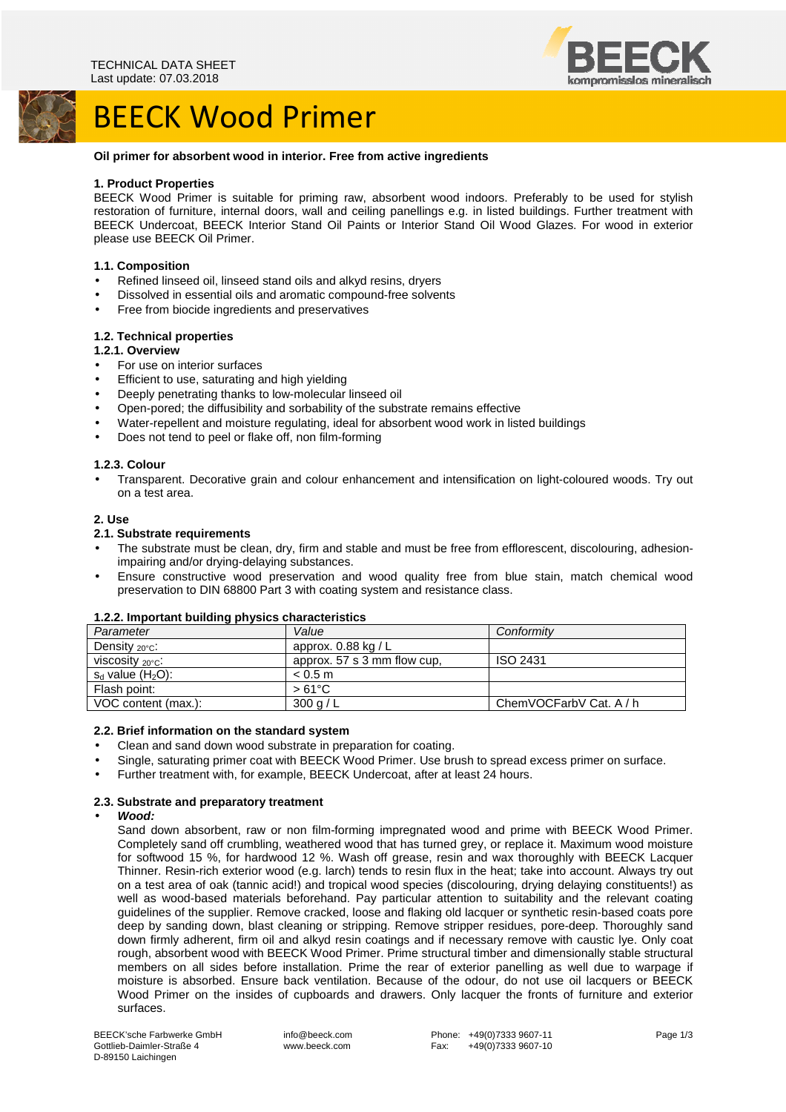

# BEECK Wood Primer

# **Oil primer for absorbent wood in interior. Free from active ingredients**

#### **1. Product Properties**

BEECK Wood Primer is suitable for priming raw, absorbent wood indoors. Preferably to be used for stylish restoration of furniture, internal doors, wall and ceiling panellings e.g. in listed buildings. Further treatment with BEECK Undercoat, BEECK Interior Stand Oil Paints or Interior Stand Oil Wood Glazes. For wood in exterior please use BEECK Oil Primer.

#### **1.1. Composition**

- Refined linseed oil, linseed stand oils and alkyd resins, dryers
- Dissolved in essential oils and aromatic compound-free solvents
- Free from biocide ingredients and preservatives

#### **1.2. Technical properties**

#### **1.2.1. Overview**

- For use on interior surfaces
- Efficient to use, saturating and high yielding
- Deeply penetrating thanks to low-molecular linseed oil
- Open-pored; the diffusibility and sorbability of the substrate remains effective
- Water-repellent and moisture regulating, ideal for absorbent wood work in listed buildings
- Does not tend to peel or flake off, non film-forming

#### **1.2.3. Colour**

• Transparent. Decorative grain and colour enhancement and intensification on light-coloured woods. Try out on a test area.

#### **2. Use**

#### **2.1. Substrate requirements**

- The substrate must be clean, dry, firm and stable and must be free from efflorescent, discolouring, adhesionimpairing and/or drying-delaying substances.
- Ensure constructive wood preservation and wood quality free from blue stain, match chemical wood preservation to DIN 68800 Part 3 with coating system and resistance class.

# **1.2.2. Important building physics characteristics**

| Parameter                        | Value                       | Conformity              |
|----------------------------------|-----------------------------|-------------------------|
| Density $_{20^{\circ}$ C:        | approx. $0.88$ kg / L       |                         |
| viscosity $_{\rm 20 ^\circ C}$ : | approx. 57 s 3 mm flow cup. | <b>ISO 2431</b>         |
| $s_d$ value (H <sub>2</sub> O):  | < 0.5 m                     |                         |
| Flash point:                     | $>61^{\circ}$ C             |                         |
| VOC content (max.):              | 300 g/L                     | ChemVOCFarbV Cat. A / h |

#### **2.2. Brief information on the standard system**

- Clean and sand down wood substrate in preparation for coating.
- Single, saturating primer coat with BEECK Wood Primer. Use brush to spread excess primer on surface.
- Further treatment with, for example, BEECK Undercoat, after at least 24 hours.

#### **2.3. Substrate and preparatory treatment**

#### • **Wood:**

Sand down absorbent, raw or non film-forming impregnated wood and prime with BEECK Wood Primer. Completely sand off crumbling, weathered wood that has turned grey, or replace it. Maximum wood moisture for softwood 15 %, for hardwood 12 %. Wash off grease, resin and wax thoroughly with BEECK Lacquer Thinner. Resin-rich exterior wood (e.g. larch) tends to resin flux in the heat; take into account. Always try out on a test area of oak (tannic acid!) and tropical wood species (discolouring, drying delaying constituents!) as well as wood-based materials beforehand. Pay particular attention to suitability and the relevant coating guidelines of the supplier. Remove cracked, loose and flaking old lacquer or synthetic resin-based coats pore deep by sanding down, blast cleaning or stripping. Remove stripper residues, pore-deep. Thoroughly sand down firmly adherent, firm oil and alkyd resin coatings and if necessary remove with caustic lye. Only coat rough, absorbent wood with BEECK Wood Primer. Prime structural timber and dimensionally stable structural members on all sides before installation. Prime the rear of exterior panelling as well due to warpage if moisture is absorbed. Ensure back ventilation. Because of the odour, do not use oil lacquers or BEECK Wood Primer on the insides of cupboards and drawers. Only lacquer the fronts of furniture and exterior surfaces.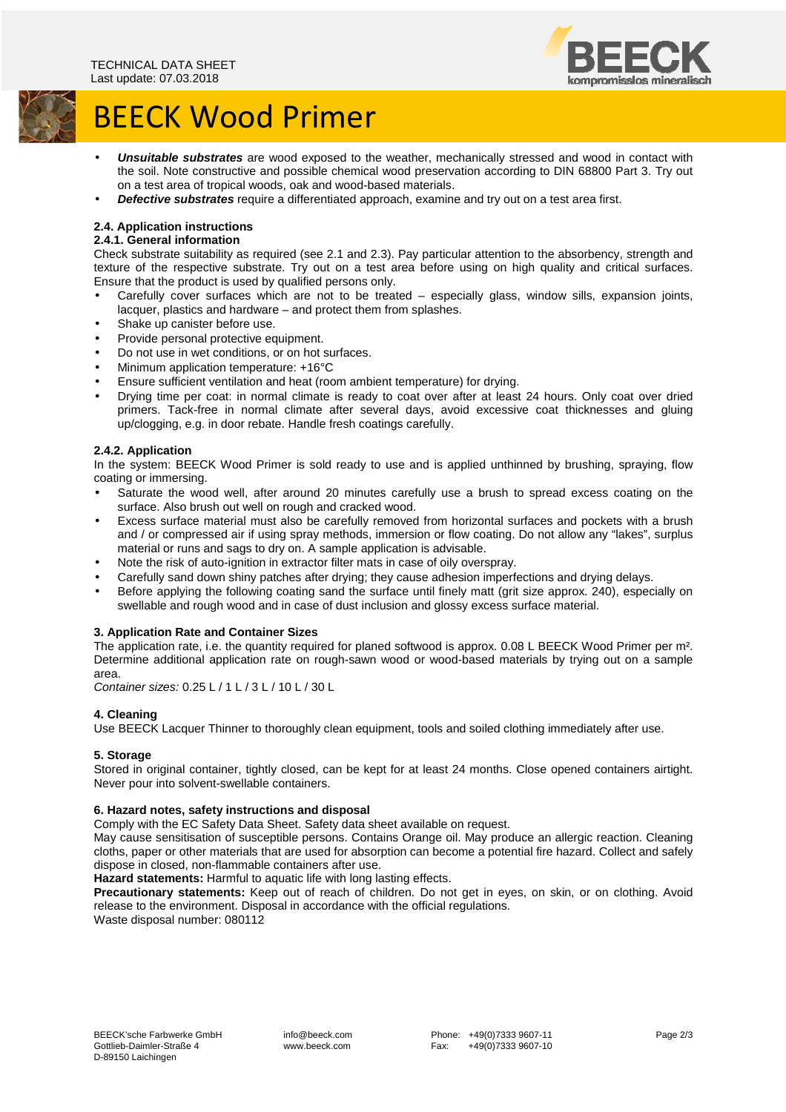

# BEECK Wood Primer

- **Unsuitable substrates** are wood exposed to the weather, mechanically stressed and wood in contact with the soil. Note constructive and possible chemical wood preservation according to DIN 68800 Part 3. Try out on a test area of tropical woods, oak and wood-based materials.
- **Defective substrates** require a differentiated approach, examine and try out on a test area first.

## **2.4. Application instructions**

#### **2.4.1. General information**

Check substrate suitability as required (see 2.1 and 2.3). Pay particular attention to the absorbency, strength and texture of the respective substrate. Try out on a test area before using on high quality and critical surfaces. Ensure that the product is used by qualified persons only.

- Carefully cover surfaces which are not to be treated especially glass, window sills, expansion joints, lacquer, plastics and hardware – and protect them from splashes.
- Shake up canister before use.
- Provide personal protective equipment.
- Do not use in wet conditions, or on hot surfaces.
- Minimum application temperature: +16°C
- Ensure sufficient ventilation and heat (room ambient temperature) for drying.
- Drying time per coat: in normal climate is ready to coat over after at least 24 hours. Only coat over dried primers. Tack-free in normal climate after several days, avoid excessive coat thicknesses and gluing up/clogging, e.g. in door rebate. Handle fresh coatings carefully.

## **2.4.2. Application**

In the system: BEECK Wood Primer is sold ready to use and is applied unthinned by brushing, spraying, flow coating or immersing.

- Saturate the wood well, after around 20 minutes carefully use a brush to spread excess coating on the surface. Also brush out well on rough and cracked wood.
- Excess surface material must also be carefully removed from horizontal surfaces and pockets with a brush and / or compressed air if using spray methods, immersion or flow coating. Do not allow any "lakes", surplus material or runs and sags to dry on. A sample application is advisable.
- Note the risk of auto-ignition in extractor filter mats in case of oily overspray.
- Carefully sand down shiny patches after drying; they cause adhesion imperfections and drying delays.
- Before applying the following coating sand the surface until finely matt (grit size approx. 240), especially on swellable and rough wood and in case of dust inclusion and glossy excess surface material.

#### **3. Application Rate and Container Sizes**

The application rate, i.e. the quantity required for planed softwood is approx. 0.08 L BEECK Wood Primer per m². Determine additional application rate on rough-sawn wood or wood-based materials by trying out on a sample area.

Container sizes: 0.25 L / 1 L / 3 L / 10 L / 30 L

#### **4. Cleaning**

Use BEECK Lacquer Thinner to thoroughly clean equipment, tools and soiled clothing immediately after use.

#### **5. Storage**

Stored in original container, tightly closed, can be kept for at least 24 months. Close opened containers airtight. Never pour into solvent-swellable containers.

#### **6. Hazard notes, safety instructions and disposal**

Comply with the EC Safety Data Sheet. Safety data sheet available on request.

May cause sensitisation of susceptible persons. Contains Orange oil. May produce an allergic reaction. Cleaning cloths, paper or other materials that are used for absorption can become a potential fire hazard. Collect and safely dispose in closed, non-flammable containers after use.

**Hazard statements:** Harmful to aquatic life with long lasting effects.

**Precautionary statements:** Keep out of reach of children. Do not get in eyes, on skin, or on clothing. Avoid release to the environment. Disposal in accordance with the official regulations. Waste disposal number: 080112